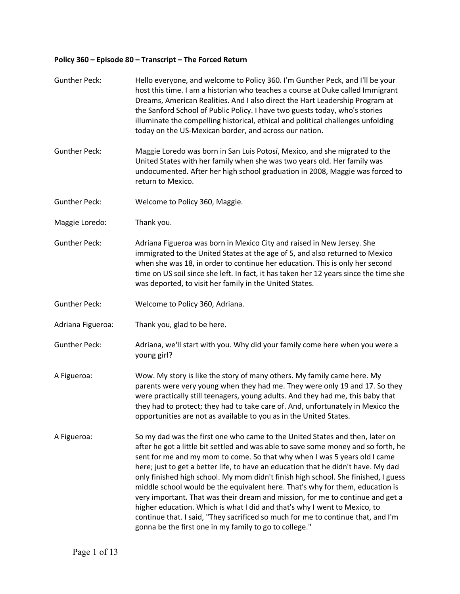## **Policy 360 – Episode 80 – Transcript – The Forced Return**

| <b>Gunther Peck:</b> | Hello everyone, and welcome to Policy 360. I'm Gunther Peck, and I'll be your<br>host this time. I am a historian who teaches a course at Duke called Immigrant<br>Dreams, American Realities. And I also direct the Hart Leadership Program at<br>the Sanford School of Public Policy. I have two guests today, who's stories<br>illuminate the compelling historical, ethical and political challenges unfolding<br>today on the US-Mexican border, and across our nation.                                                                                                                                                                                                                                                                                                                                             |
|----------------------|--------------------------------------------------------------------------------------------------------------------------------------------------------------------------------------------------------------------------------------------------------------------------------------------------------------------------------------------------------------------------------------------------------------------------------------------------------------------------------------------------------------------------------------------------------------------------------------------------------------------------------------------------------------------------------------------------------------------------------------------------------------------------------------------------------------------------|
| <b>Gunther Peck:</b> | Maggie Loredo was born in San Luis Potosí, Mexico, and she migrated to the<br>United States with her family when she was two years old. Her family was<br>undocumented. After her high school graduation in 2008, Maggie was forced to<br>return to Mexico.                                                                                                                                                                                                                                                                                                                                                                                                                                                                                                                                                              |
| <b>Gunther Peck:</b> | Welcome to Policy 360, Maggie.                                                                                                                                                                                                                                                                                                                                                                                                                                                                                                                                                                                                                                                                                                                                                                                           |
| Maggie Loredo:       | Thank you.                                                                                                                                                                                                                                                                                                                                                                                                                                                                                                                                                                                                                                                                                                                                                                                                               |
| <b>Gunther Peck:</b> | Adriana Figueroa was born in Mexico City and raised in New Jersey. She<br>immigrated to the United States at the age of 5, and also returned to Mexico<br>when she was 18, in order to continue her education. This is only her second<br>time on US soil since she left. In fact, it has taken her 12 years since the time she<br>was deported, to visit her family in the United States.                                                                                                                                                                                                                                                                                                                                                                                                                               |
| <b>Gunther Peck:</b> | Welcome to Policy 360, Adriana.                                                                                                                                                                                                                                                                                                                                                                                                                                                                                                                                                                                                                                                                                                                                                                                          |
| Adriana Figueroa:    | Thank you, glad to be here.                                                                                                                                                                                                                                                                                                                                                                                                                                                                                                                                                                                                                                                                                                                                                                                              |
| <b>Gunther Peck:</b> | Adriana, we'll start with you. Why did your family come here when you were a<br>young girl?                                                                                                                                                                                                                                                                                                                                                                                                                                                                                                                                                                                                                                                                                                                              |
| A Figueroa:          | Wow. My story is like the story of many others. My family came here. My<br>parents were very young when they had me. They were only 19 and 17. So they<br>were practically still teenagers, young adults. And they had me, this baby that<br>they had to protect; they had to take care of. And, unfortunately in Mexico the<br>opportunities are not as available to you as in the United States.                                                                                                                                                                                                                                                                                                                                                                                                                       |
| A Figueroa:          | So my dad was the first one who came to the United States and then, later on<br>after he got a little bit settled and was able to save some money and so forth, he<br>sent for me and my mom to come. So that why when I was 5 years old I came<br>here; just to get a better life, to have an education that he didn't have. My dad<br>only finished high school. My mom didn't finish high school. She finished, I guess<br>middle school would be the equivalent here. That's why for them, education is<br>very important. That was their dream and mission, for me to continue and get a<br>higher education. Which is what I did and that's why I went to Mexico, to<br>continue that. I said, "They sacrificed so much for me to continue that, and I'm<br>gonna be the first one in my family to go to college." |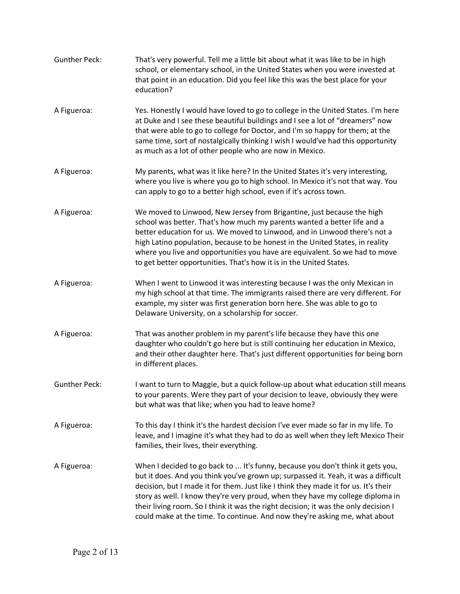| <b>Gunther Peck:</b> | That's very powerful. Tell me a little bit about what it was like to be in high<br>school, or elementary school, in the United States when you were invested at<br>that point in an education. Did you feel like this was the best place for your<br>education?                                                                                                                                                                                                                                                    |
|----------------------|--------------------------------------------------------------------------------------------------------------------------------------------------------------------------------------------------------------------------------------------------------------------------------------------------------------------------------------------------------------------------------------------------------------------------------------------------------------------------------------------------------------------|
| A Figueroa:          | Yes. Honestly I would have loved to go to college in the United States. I'm here<br>at Duke and I see these beautiful buildings and I see a lot of "dreamers" now<br>that were able to go to college for Doctor, and I'm so happy for them; at the<br>same time, sort of nostalgically thinking I wish I would've had this opportunity<br>as much as a lot of other people who are now in Mexico.                                                                                                                  |
| A Figueroa:          | My parents, what was it like here? In the United States it's very interesting,<br>where you live is where you go to high school. In Mexico it's not that way. You<br>can apply to go to a better high school, even if it's across town.                                                                                                                                                                                                                                                                            |
| A Figueroa:          | We moved to Linwood, New Jersey from Brigantine, just because the high<br>school was better. That's how much my parents wanted a better life and a<br>better education for us. We moved to Linwood, and in Linwood there's not a<br>high Latino population, because to be honest in the United States, in reality<br>where you live and opportunities you have are equivalent. So we had to move<br>to get better opportunities. That's how it is in the United States.                                            |
| A Figueroa:          | When I went to Linwood it was interesting because I was the only Mexican in<br>my high school at that time. The immigrants raised there are very different. For<br>example, my sister was first generation born here. She was able to go to<br>Delaware University, on a scholarship for soccer.                                                                                                                                                                                                                   |
| A Figueroa:          | That was another problem in my parent's life because they have this one<br>daughter who couldn't go here but is still continuing her education in Mexico,<br>and their other daughter here. That's just different opportunities for being born<br>in different places.                                                                                                                                                                                                                                             |
| <b>Gunther Peck:</b> | I want to turn to Maggie, but a quick follow-up about what education still means<br>to your parents. Were they part of your decision to leave, obviously they were<br>but what was that like; when you had to leave home?                                                                                                                                                                                                                                                                                          |
| A Figueroa:          | To this day I think it's the hardest decision I've ever made so far in my life. To<br>leave, and I imagine it's what they had to do as well when they left Mexico Their<br>families, their lives, their everything.                                                                                                                                                                                                                                                                                                |
| A Figueroa:          | When I decided to go back to  It's funny, because you don't think it gets you,<br>but it does. And you think you've grown up; surpassed it. Yeah, it was a difficult<br>decision, but I made it for them. Just like I think they made it for us. It's their<br>story as well. I know they're very proud, when they have my college diploma in<br>their living room. So I think it was the right decision; it was the only decision I<br>could make at the time. To continue. And now they're asking me, what about |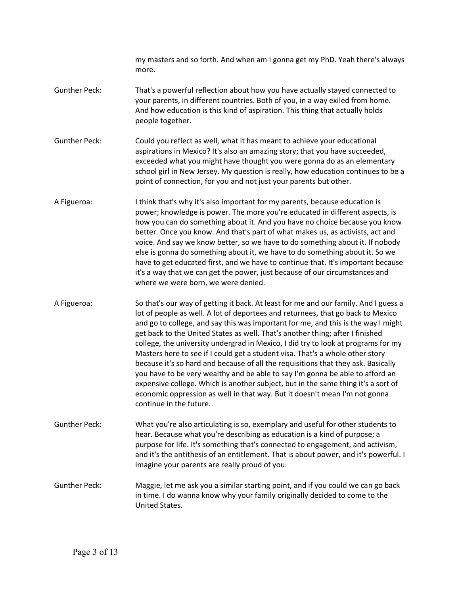my masters and so forth. And when am I gonna get my PhD. Yeah there's always more.

- Gunther Peck: That's a powerful reflection about how you have actually stayed connected to your parents, in different countries. Both of you, in a way exiled from home. And how education is this kind of aspiration. This thing that actually holds people together.
- Gunther Peck: Could you reflect as well, what it has meant to achieve your educational aspirations in Mexico? It's also an amazing story; that you have succeeded, exceeded what you might have thought you were gonna do as an elementary school girl in New Jersey. My question is really, how education continues to be a point of connection, for you and not just your parents but other.
- A Figueroa: I think that's why it's also important for my parents, because education is power; knowledge is power. The more you're educated in different aspects, is how you can do something about it. And you have no choice because you know better. Once you know. And that's part of what makes us, as activists, act and voice. And say we know better, so we have to do something about it. If nobody else is gonna do something about it, we have to do something about it. So we have to get educated first, and we have to continue that. It's important because it's a way that we can get the power, just because of our circumstances and where we were born, we were denied.
- A Figueroa: So that's our way of getting it back. At least for me and our family. And I guess a lot of people as well. A lot of deportees and returnees, that go back to Mexico and go to college, and say this was important for me, and this is the way I might get back to the United States as well. That's another thing; after I finished college, the university undergrad in Mexico, I did try to look at programs for my Masters here to see if I could get a student visa. That's a whole other story because it's so hard and because of all the requisitions that they ask. Basically you have to be very wealthy and be able to say I'm gonna be able to afford an expensive college. Which is another subject, but in the same thing it's a sort of economic oppression as well in that way. But it doesn't mean I'm not gonna continue in the future.
- Gunther Peck: What you're also articulating is so, exemplary and useful for other students to hear. Because what you're describing as education is a kind of purpose; a purpose for life. It's something that's connected to engagement, and activism, and it's the antithesis of an entitlement. That is about power, and it's powerful. I imagine your parents are really proud of you.
- Gunther Peck: Maggie, let me ask you a similar starting point, and if you could we can go back in time. I do wanna know why your family originally decided to come to the United States.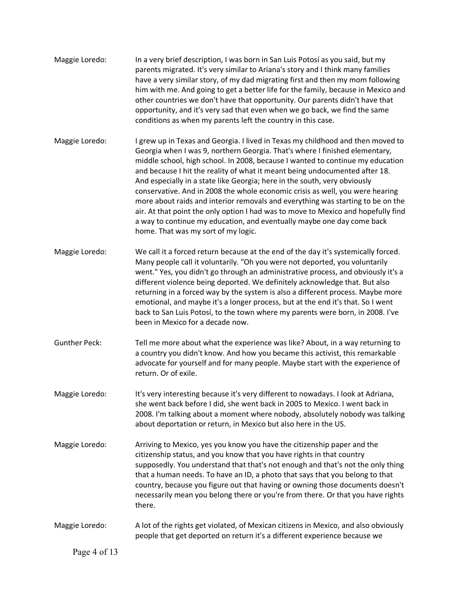| Maggie Loredo:       | In a very brief description, I was born in San Luis Potosí as you said, but my<br>parents migrated. It's very similar to Ariana's story and I think many families<br>have a very similar story, of my dad migrating first and then my mom following<br>him with me. And going to get a better life for the family, because in Mexico and<br>other countries we don't have that opportunity. Our parents didn't have that<br>opportunity, and it's very sad that even when we go back, we find the same<br>conditions as when my parents left the country in this case.                                                                                                                                                                                                                 |
|----------------------|----------------------------------------------------------------------------------------------------------------------------------------------------------------------------------------------------------------------------------------------------------------------------------------------------------------------------------------------------------------------------------------------------------------------------------------------------------------------------------------------------------------------------------------------------------------------------------------------------------------------------------------------------------------------------------------------------------------------------------------------------------------------------------------|
| Maggie Loredo:       | I grew up in Texas and Georgia. I lived in Texas my childhood and then moved to<br>Georgia when I was 9, northern Georgia. That's where I finished elementary,<br>middle school, high school. In 2008, because I wanted to continue my education<br>and because I hit the reality of what it meant being undocumented after 18.<br>And especially in a state like Georgia; here in the south, very obviously<br>conservative. And in 2008 the whole economic crisis as well, you were hearing<br>more about raids and interior removals and everything was starting to be on the<br>air. At that point the only option I had was to move to Mexico and hopefully find<br>a way to continue my education, and eventually maybe one day come back<br>home. That was my sort of my logic. |
| Maggie Loredo:       | We call it a forced return because at the end of the day it's systemically forced.<br>Many people call it voluntarily. "Oh you were not deported, you voluntarily<br>went." Yes, you didn't go through an administrative process, and obviously it's a<br>different violence being deported. We definitely acknowledge that. But also<br>returning in a forced way by the system is also a different process. Maybe more<br>emotional, and maybe it's a longer process, but at the end it's that. So I went<br>back to San Luis Potosí, to the town where my parents were born, in 2008. I've<br>been in Mexico for a decade now.                                                                                                                                                      |
| <b>Gunther Peck:</b> | Tell me more about what the experience was like? About, in a way returning to<br>a country you didn't know. And how you became this activist, this remarkable<br>advocate for yourself and for many people. Maybe start with the experience of<br>return. Or of exile.                                                                                                                                                                                                                                                                                                                                                                                                                                                                                                                 |
| Maggie Loredo:       | It's very interesting because it's very different to nowadays. I look at Adriana,<br>she went back before I did, she went back in 2005 to Mexico. I went back in<br>2008. I'm talking about a moment where nobody, absolutely nobody was talking<br>about deportation or return, in Mexico but also here in the US.                                                                                                                                                                                                                                                                                                                                                                                                                                                                    |
| Maggie Loredo:       | Arriving to Mexico, yes you know you have the citizenship paper and the<br>citizenship status, and you know that you have rights in that country<br>supposedly. You understand that that's not enough and that's not the only thing<br>that a human needs. To have an ID, a photo that says that you belong to that<br>country, because you figure out that having or owning those documents doesn't<br>necessarily mean you belong there or you're from there. Or that you have rights<br>there.                                                                                                                                                                                                                                                                                      |
| Maggie Loredo:       | A lot of the rights get violated, of Mexican citizens in Mexico, and also obviously<br>people that get deported on return it's a different experience because we                                                                                                                                                                                                                                                                                                                                                                                                                                                                                                                                                                                                                       |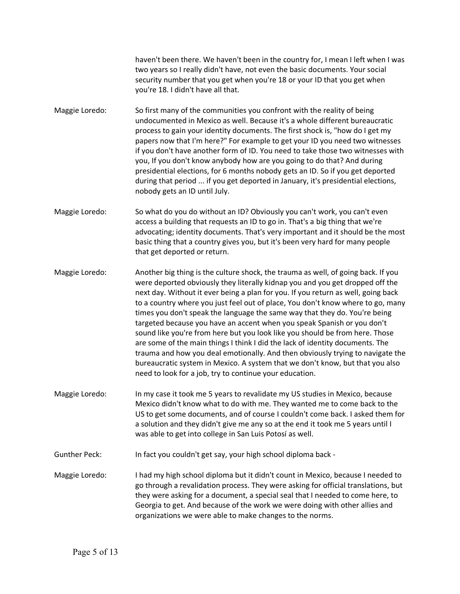haven't been there. We haven't been in the country for, I mean I left when I was two years so I really didn't have, not even the basic documents. Your social security number that you get when you're 18 or your ID that you get when you're 18. I didn't have all that.

- Maggie Loredo: So first many of the communities you confront with the reality of being undocumented in Mexico as well. Because it's a whole different bureaucratic process to gain your identity documents. The first shock is, "how do I get my papers now that I'm here?" For example to get your ID you need two witnesses if you don't have another form of ID. You need to take those two witnesses with you, If you don't know anybody how are you going to do that? And during presidential elections, for 6 months nobody gets an ID. So if you get deported during that period ... if you get deported in January, it's presidential elections, nobody gets an ID until July.
- Maggie Loredo: So what do you do without an ID? Obviously you can't work, you can't even access a building that requests an ID to go in. That's a big thing that we're advocating; identity documents. That's very important and it should be the most basic thing that a country gives you, but it's been very hard for many people that get deported or return.
- Maggie Loredo: Another big thing is the culture shock, the trauma as well, of going back. If you were deported obviously they literally kidnap you and you get dropped off the next day. Without it ever being a plan for you. If you return as well, going back to a country where you just feel out of place, You don't know where to go, many times you don't speak the language the same way that they do. You're being targeted because you have an accent when you speak Spanish or you don't sound like you're from here but you look like you should be from here. Those are some of the main things I think I did the lack of identity documents. The trauma and how you deal emotionally. And then obviously trying to navigate the bureaucratic system in Mexico. A system that we don't know, but that you also need to look for a job, try to continue your education.
- Maggie Loredo: In my case it took me 5 years to revalidate my US studies in Mexico, because Mexico didn't know what to do with me. They wanted me to come back to the US to get some documents, and of course I couldn't come back. I asked them for a solution and they didn't give me any so at the end it took me 5 years until I was able to get into college in San Luis Potosí as well.
- Gunther Peck: In fact you couldn't get say, your high school diploma back -
- Maggie Loredo: I had my high school diploma but it didn't count in Mexico, because I needed to go through a revalidation process. They were asking for official translations, but they were asking for a document, a special seal that I needed to come here, to Georgia to get. And because of the work we were doing with other allies and organizations we were able to make changes to the norms.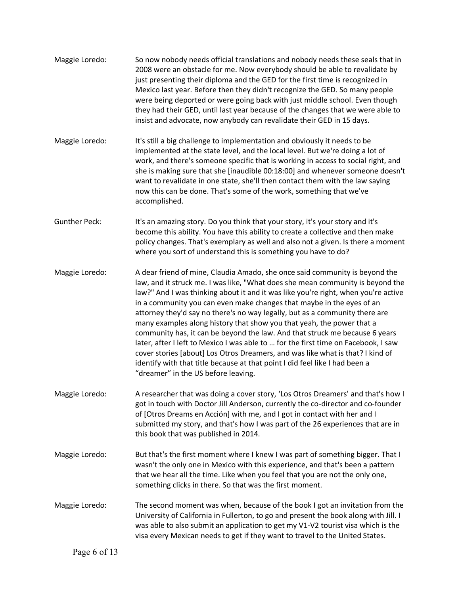| Maggie Loredo:       | So now nobody needs official translations and nobody needs these seals that in<br>2008 were an obstacle for me. Now everybody should be able to revalidate by<br>just presenting their diploma and the GED for the first time is recognized in<br>Mexico last year. Before then they didn't recognize the GED. So many people<br>were being deported or were going back with just middle school. Even though<br>they had their GED, until last year because of the changes that we were able to<br>insist and advocate, now anybody can revalidate their GED in 15 days.                                                                                                                                                                                                                                                                                          |
|----------------------|-------------------------------------------------------------------------------------------------------------------------------------------------------------------------------------------------------------------------------------------------------------------------------------------------------------------------------------------------------------------------------------------------------------------------------------------------------------------------------------------------------------------------------------------------------------------------------------------------------------------------------------------------------------------------------------------------------------------------------------------------------------------------------------------------------------------------------------------------------------------|
| Maggie Loredo:       | It's still a big challenge to implementation and obviously it needs to be<br>implemented at the state level, and the local level. But we're doing a lot of<br>work, and there's someone specific that is working in access to social right, and<br>she is making sure that she [inaudible 00:18:00] and whenever someone doesn't<br>want to revalidate in one state, she'll then contact them with the law saying<br>now this can be done. That's some of the work, something that we've<br>accomplished.                                                                                                                                                                                                                                                                                                                                                         |
| <b>Gunther Peck:</b> | It's an amazing story. Do you think that your story, it's your story and it's<br>become this ability. You have this ability to create a collective and then make<br>policy changes. That's exemplary as well and also not a given. Is there a moment<br>where you sort of understand this is something you have to do?                                                                                                                                                                                                                                                                                                                                                                                                                                                                                                                                            |
| Maggie Loredo:       | A dear friend of mine, Claudia Amado, she once said community is beyond the<br>law, and it struck me. I was like, "What does she mean community is beyond the<br>law?" And I was thinking about it and it was like you're right, when you're active<br>in a community you can even make changes that maybe in the eyes of an<br>attorney they'd say no there's no way legally, but as a community there are<br>many examples along history that show you that yeah, the power that a<br>community has, it can be beyond the law. And that struck me because 6 years<br>later, after I left to Mexico I was able to  for the first time on Facebook, I saw<br>cover stories [about] Los Otros Dreamers, and was like what is that? I kind of<br>identify with that title because at that point I did feel like I had been a<br>"dreamer" in the US before leaving. |
| Maggie Loredo:       | A researcher that was doing a cover story, 'Los Otros Dreamers' and that's how I<br>got in touch with Doctor Jill Anderson, currently the co-director and co-founder<br>of [Otros Dreams en Acción] with me, and I got in contact with her and I<br>submitted my story, and that's how I was part of the 26 experiences that are in<br>this book that was published in 2014.                                                                                                                                                                                                                                                                                                                                                                                                                                                                                      |
| Maggie Loredo:       | But that's the first moment where I knew I was part of something bigger. That I<br>wasn't the only one in Mexico with this experience, and that's been a pattern<br>that we hear all the time. Like when you feel that you are not the only one,<br>something clicks in there. So that was the first moment.                                                                                                                                                                                                                                                                                                                                                                                                                                                                                                                                                      |
| Maggie Loredo:       | The second moment was when, because of the book I got an invitation from the<br>University of California in Fullerton, to go and present the book along with Jill. I<br>was able to also submit an application to get my V1-V2 tourist visa which is the<br>visa every Mexican needs to get if they want to travel to the United States.                                                                                                                                                                                                                                                                                                                                                                                                                                                                                                                          |
| Page 6 of 13         |                                                                                                                                                                                                                                                                                                                                                                                                                                                                                                                                                                                                                                                                                                                                                                                                                                                                   |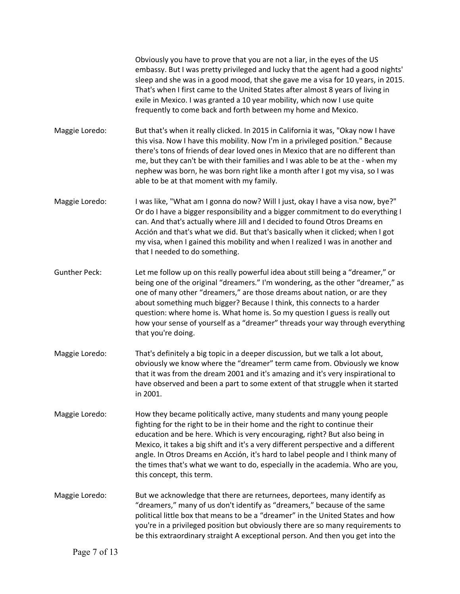|                      | Obviously you have to prove that you are not a liar, in the eyes of the US<br>embassy. But I was pretty privileged and lucky that the agent had a good nights'<br>sleep and she was in a good mood, that she gave me a visa for 10 years, in 2015.<br>That's when I first came to the United States after almost 8 years of living in<br>exile in Mexico. I was granted a 10 year mobility, which now I use quite<br>frequently to come back and forth between my home and Mexico.                                        |
|----------------------|---------------------------------------------------------------------------------------------------------------------------------------------------------------------------------------------------------------------------------------------------------------------------------------------------------------------------------------------------------------------------------------------------------------------------------------------------------------------------------------------------------------------------|
| Maggie Loredo:       | But that's when it really clicked. In 2015 in California it was, "Okay now I have<br>this visa. Now I have this mobility. Now I'm in a privileged position." Because<br>there's tons of friends of dear loved ones in Mexico that are no different than<br>me, but they can't be with their families and I was able to be at the - when my<br>nephew was born, he was born right like a month after I got my visa, so I was<br>able to be at that moment with my family.                                                  |
| Maggie Loredo:       | I was like, "What am I gonna do now? Will I just, okay I have a visa now, bye?"<br>Or do I have a bigger responsibility and a bigger commitment to do everything I<br>can. And that's actually where Jill and I decided to found Otros Dreams en<br>Acción and that's what we did. But that's basically when it clicked; when I got<br>my visa, when I gained this mobility and when I realized I was in another and<br>that I needed to do something.                                                                    |
| <b>Gunther Peck:</b> | Let me follow up on this really powerful idea about still being a "dreamer," or<br>being one of the original "dreamers." I'm wondering, as the other "dreamer," as<br>one of many other "dreamers," are those dreams about nation, or are they<br>about something much bigger? Because I think, this connects to a harder<br>question: where home is. What home is. So my question I guess is really out<br>how your sense of yourself as a "dreamer" threads your way through everything<br>that you're doing.           |
| Maggie Loredo:       | That's definitely a big topic in a deeper discussion, but we talk a lot about,<br>obviously we know where the "dreamer" term came from. Obviously we know<br>that it was from the dream 2001 and it's amazing and it's very inspirational to<br>have observed and been a part to some extent of that struggle when it started<br>in 2001.                                                                                                                                                                                 |
| Maggie Loredo:       | How they became politically active, many students and many young people<br>fighting for the right to be in their home and the right to continue their<br>education and be here. Which is very encouraging, right? But also being in<br>Mexico, it takes a big shift and it's a very different perspective and a different<br>angle. In Otros Dreams en Acción, it's hard to label people and I think many of<br>the times that's what we want to do, especially in the academia. Who are you,<br>this concept, this term. |
| Maggie Loredo:       | But we acknowledge that there are returnees, deportees, many identify as<br>"dreamers," many of us don't identify as "dreamers," because of the same<br>political little box that means to be a "dreamer" in the United States and how<br>you're in a privileged position but obviously there are so many requirements to<br>be this extraordinary straight A exceptional person. And then you get into the                                                                                                               |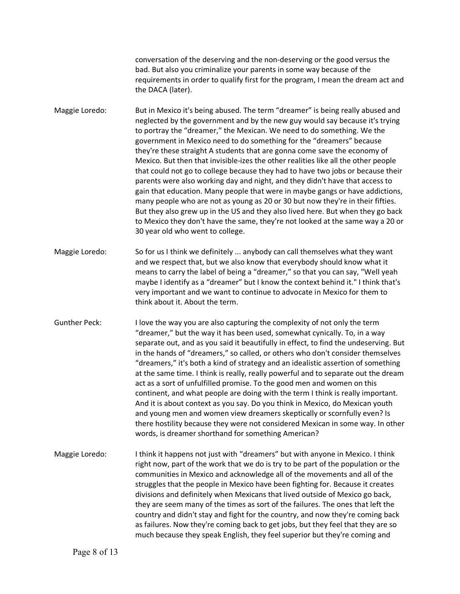conversation of the deserving and the non-deserving or the good versus the bad. But also you criminalize your parents in some way because of the requirements in order to qualify first for the program, I mean the dream act and the DACA (later).

Maggie Loredo: But in Mexico it's being abused. The term "dreamer" is being really abused and neglected by the government and by the new guy would say because it's trying to portray the "dreamer," the Mexican. We need to do something. We the government in Mexico need to do something for the "dreamers" because they're these straight A students that are gonna come save the economy of Mexico. But then that invisible-izes the other realities like all the other people that could not go to college because they had to have two jobs or because their parents were also working day and night, and they didn't have that access to gain that education. Many people that were in maybe gangs or have addictions, many people who are not as young as 20 or 30 but now they're in their fifties. But they also grew up in the US and they also lived here. But when they go back to Mexico they don't have the same, they're not looked at the same way a 20 or 30 year old who went to college.

- Maggie Loredo: So for us I think we definitely ... anybody can call themselves what they want and we respect that, but we also know that everybody should know what it means to carry the label of being a "dreamer," so that you can say, "Well yeah maybe I identify as a "dreamer" but I know the context behind it." I think that's very important and we want to continue to advocate in Mexico for them to think about it. About the term.
- Gunther Peck: I love the way you are also capturing the complexity of not only the term "dreamer," but the way it has been used, somewhat cynically. To, in a way separate out, and as you said it beautifully in effect, to find the undeserving. But in the hands of "dreamers," so called, or others who don't consider themselves "dreamers," it's both a kind of strategy and an idealistic assertion of something at the same time. I think is really, really powerful and to separate out the dream act as a sort of unfulfilled promise. To the good men and women on this continent, and what people are doing with the term I think is really important. And it is about context as you say. Do you think in Mexico, do Mexican youth and young men and women view dreamers skeptically or scornfully even? Is there hostility because they were not considered Mexican in some way. In other words, is dreamer shorthand for something American?
- Maggie Loredo: I think it happens not just with "dreamers" but with anyone in Mexico. I think right now, part of the work that we do is try to be part of the population or the communities in Mexico and acknowledge all of the movements and all of the struggles that the people in Mexico have been fighting for. Because it creates divisions and definitely when Mexicans that lived outside of Mexico go back, they are seem many of the times as sort of the failures. The ones that left the country and didn't stay and fight for the country, and now they're coming back as failures. Now they're coming back to get jobs, but they feel that they are so much because they speak English, they feel superior but they're coming and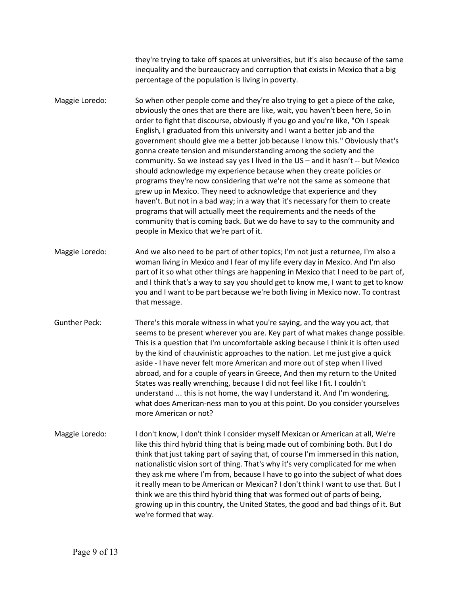they're trying to take off spaces at universities, but it's also because of the same inequality and the bureaucracy and corruption that exists in Mexico that a big percentage of the population is living in poverty.

Maggie Loredo: So when other people come and they're also trying to get a piece of the cake, obviously the ones that are there are like, wait, you haven't been here, So in order to fight that discourse, obviously if you go and you're like, "Oh I speak English, I graduated from this university and I want a better job and the government should give me a better job because I know this." Obviously that's gonna create tension and misunderstanding among the society and the community. So we instead say yes I lived in the US – and it hasn't -- but Mexico should acknowledge my experience because when they create policies or programs they're now considering that we're not the same as someone that grew up in Mexico. They need to acknowledge that experience and they haven't. But not in a bad way; in a way that it's necessary for them to create programs that will actually meet the requirements and the needs of the community that is coming back. But we do have to say to the community and people in Mexico that we're part of it.

Maggie Loredo: And we also need to be part of other topics; I'm not just a returnee, I'm also a woman living in Mexico and I fear of my life every day in Mexico. And I'm also part of it so what other things are happening in Mexico that I need to be part of, and I think that's a way to say you should get to know me, I want to get to know you and I want to be part because we're both living in Mexico now. To contrast that message.

Gunther Peck: There's this morale witness in what you're saying, and the way you act, that seems to be present wherever you are. Key part of what makes change possible. This is a question that I'm uncomfortable asking because I think it is often used by the kind of chauvinistic approaches to the nation. Let me just give a quick aside - I have never felt more American and more out of step when I lived abroad, and for a couple of years in Greece, And then my return to the United States was really wrenching, because I did not feel like I fit. I couldn't understand ... this is not home, the way I understand it. And I'm wondering, what does American-ness man to you at this point. Do you consider yourselves more American or not?

Maggie Loredo: I don't know, I don't think I consider myself Mexican or American at all, We're like this third hybrid thing that is being made out of combining both. But I do think that just taking part of saying that, of course I'm immersed in this nation, nationalistic vision sort of thing. That's why it's very complicated for me when they ask me where I'm from, because I have to go into the subject of what does it really mean to be American or Mexican? I don't think I want to use that. But I think we are this third hybrid thing that was formed out of parts of being, growing up in this country, the United States, the good and bad things of it. But we're formed that way.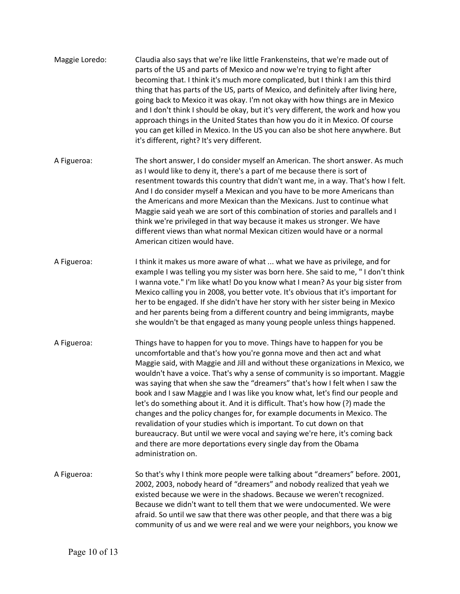| Maggie Loredo: | Claudia also says that we're like little Frankensteins, that we're made out of<br>parts of the US and parts of Mexico and now we're trying to fight after<br>becoming that. I think it's much more complicated, but I think I am this third<br>thing that has parts of the US, parts of Mexico, and definitely after living here,<br>going back to Mexico it was okay. I'm not okay with how things are in Mexico<br>and I don't think I should be okay, but it's very different, the work and how you<br>approach things in the United States than how you do it in Mexico. Of course<br>you can get killed in Mexico. In the US you can also be shot here anywhere. But<br>it's different, right? It's very different.                                                                                                                                                                            |
|----------------|-----------------------------------------------------------------------------------------------------------------------------------------------------------------------------------------------------------------------------------------------------------------------------------------------------------------------------------------------------------------------------------------------------------------------------------------------------------------------------------------------------------------------------------------------------------------------------------------------------------------------------------------------------------------------------------------------------------------------------------------------------------------------------------------------------------------------------------------------------------------------------------------------------|
| A Figueroa:    | The short answer, I do consider myself an American. The short answer. As much<br>as I would like to deny it, there's a part of me because there is sort of<br>resentment towards this country that didn't want me, in a way. That's how I felt.<br>And I do consider myself a Mexican and you have to be more Americans than<br>the Americans and more Mexican than the Mexicans. Just to continue what<br>Maggie said yeah we are sort of this combination of stories and parallels and I<br>think we're privileged in that way because it makes us stronger. We have<br>different views than what normal Mexican citizen would have or a normal<br>American citizen would have.                                                                                                                                                                                                                   |
| A Figueroa:    | I think it makes us more aware of what  what we have as privilege, and for<br>example I was telling you my sister was born here. She said to me, "I don't think<br>I wanna vote." I'm like what! Do you know what I mean? As your big sister from<br>Mexico calling you in 2008, you better vote. It's obvious that it's important for<br>her to be engaged. If she didn't have her story with her sister being in Mexico<br>and her parents being from a different country and being immigrants, maybe<br>she wouldn't be that engaged as many young people unless things happened.                                                                                                                                                                                                                                                                                                                |
| A Figueroa:    | Things have to happen for you to move. Things have to happen for you be<br>uncomfortable and that's how you're gonna move and then act and what<br>Maggie said, with Maggie and Jill and without these organizations in Mexico, we<br>wouldn't have a voice. That's why a sense of community is so important. Maggie<br>was saying that when she saw the "dreamers" that's how I felt when I saw the<br>book and I saw Maggie and I was like you know what, let's find our people and<br>let's do something about it. And it is difficult. That's how how (?) made the<br>changes and the policy changes for, for example documents in Mexico. The<br>revalidation of your studies which is important. To cut down on that<br>bureaucracy. But until we were vocal and saying we're here, it's coming back<br>and there are more deportations every single day from the Obama<br>administration on. |
| A Figueroa:    | So that's why I think more people were talking about "dreamers" before. 2001,<br>2002, 2003, nobody heard of "dreamers" and nobody realized that yeah we<br>existed because we were in the shadows. Because we weren't recognized.<br>Because we didn't want to tell them that we were undocumented. We were<br>afraid. So until we saw that there was other people, and that there was a big<br>community of us and we were real and we were your neighbors, you know we                                                                                                                                                                                                                                                                                                                                                                                                                           |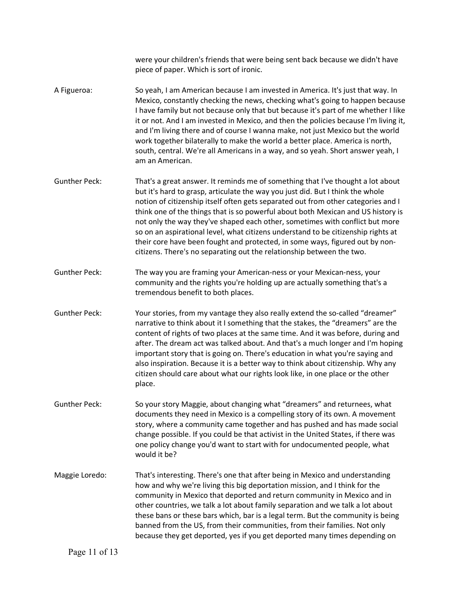were your children's friends that were being sent back because we didn't have piece of paper. Which is sort of ironic.

- A Figueroa: So yeah, I am American because I am invested in America. It's just that way. In Mexico, constantly checking the news, checking what's going to happen because I have family but not because only that but because it's part of me whether I like it or not. And I am invested in Mexico, and then the policies because I'm living it, and I'm living there and of course I wanna make, not just Mexico but the world work together bilaterally to make the world a better place. America is north, south, central. We're all Americans in a way, and so yeah. Short answer yeah, I am an American.
- Gunther Peck: That's a great answer. It reminds me of something that I've thought a lot about but it's hard to grasp, articulate the way you just did. But I think the whole notion of citizenship itself often gets separated out from other categories and I think one of the things that is so powerful about both Mexican and US history is not only the way they've shaped each other, sometimes with conflict but more so on an aspirational level, what citizens understand to be citizenship rights at their core have been fought and protected, in some ways, figured out by noncitizens. There's no separating out the relationship between the two.
- Gunther Peck: The way you are framing your American-ness or your Mexican-ness, your community and the rights you're holding up are actually something that's a tremendous benefit to both places.
- Gunther Peck: Your stories, from my vantage they also really extend the so-called "dreamer" narrative to think about it I something that the stakes, the "dreamers" are the content of rights of two places at the same time. And it was before, during and after. The dream act was talked about. And that's a much longer and I'm hoping important story that is going on. There's education in what you're saying and also inspiration. Because it is a better way to think about citizenship. Why any citizen should care about what our rights look like, in one place or the other place.
- Gunther Peck: So your story Maggie, about changing what "dreamers" and returnees, what documents they need in Mexico is a compelling story of its own. A movement story, where a community came together and has pushed and has made social change possible. If you could be that activist in the United States, if there was one policy change you'd want to start with for undocumented people, what would it be?
- Maggie Loredo: That's interesting. There's one that after being in Mexico and understanding how and why we're living this big deportation mission, and I think for the community in Mexico that deported and return community in Mexico and in other countries, we talk a lot about family separation and we talk a lot about these bans or these bars which, bar is a legal term. But the community is being banned from the US, from their communities, from their families. Not only because they get deported, yes if you get deported many times depending on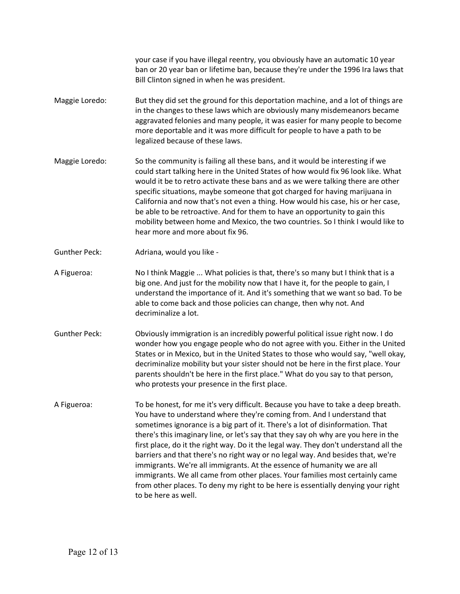your case if you have illegal reentry, you obviously have an automatic 10 year ban or 20 year ban or lifetime ban, because they're under the 1996 Ira laws that Bill Clinton signed in when he was president.

- Maggie Loredo: But they did set the ground for this deportation machine, and a lot of things are in the changes to these laws which are obviously many misdemeanors became aggravated felonies and many people, it was easier for many people to become more deportable and it was more difficult for people to have a path to be legalized because of these laws.
- Maggie Loredo: So the community is failing all these bans, and it would be interesting if we could start talking here in the United States of how would fix 96 look like. What would it be to retro activate these bans and as we were talking there are other specific situations, maybe someone that got charged for having marijuana in California and now that's not even a thing. How would his case, his or her case, be able to be retroactive. And for them to have an opportunity to gain this mobility between home and Mexico, the two countries. So I think I would like to hear more and more about fix 96.
- Gunther Peck: Adriana, would you like -
- A Figueroa: No I think Maggie ... What policies is that, there's so many but I think that is a big one. And just for the mobility now that I have it, for the people to gain, I understand the importance of it. And it's something that we want so bad. To be able to come back and those policies can change, then why not. And decriminalize a lot.
- Gunther Peck: Obviously immigration is an incredibly powerful political issue right now. I do wonder how you engage people who do not agree with you. Either in the United States or in Mexico, but in the United States to those who would say, "well okay, decriminalize mobility but your sister should not be here in the first place. Your parents shouldn't be here in the first place." What do you say to that person, who protests your presence in the first place.
- A Figueroa: To be honest, for me it's very difficult. Because you have to take a deep breath. You have to understand where they're coming from. And I understand that sometimes ignorance is a big part of it. There's a lot of disinformation. That there's this imaginary line, or let's say that they say oh why are you here in the first place, do it the right way. Do it the legal way. They don't understand all the barriers and that there's no right way or no legal way. And besides that, we're immigrants. We're all immigrants. At the essence of humanity we are all immigrants. We all came from other places. Your families most certainly came from other places. To deny my right to be here is essentially denying your right to be here as well.